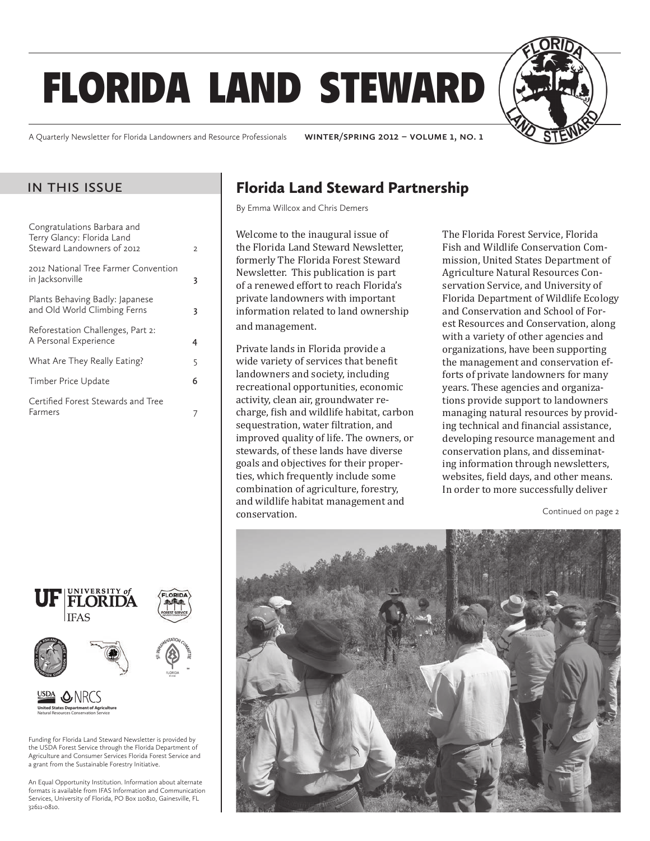# florida land steward



A Quarterly Newsletter for Florida Landowners and Resource Professionals **winter/spring 2012 – volume 1, no. 1**

#### in this issue

| Congratulations Barbara and<br>Terry Glancy: Florida Land<br>Steward Landowners of 2012 | 2 |
|-----------------------------------------------------------------------------------------|---|
| 2012 National Tree Farmer Convention<br>in Jacksonville                                 | 3 |
| Plants Behaving Badly: Japanese<br>and Old World Climbing Ferns                         | 3 |
| Reforestation Challenges, Part 2:<br>A Personal Experience                              | 4 |
| What Are They Really Eating?                                                            | 5 |
| Timber Price Update                                                                     | 6 |
| Certified Forest Stewards and Tree<br>Farmers                                           |   |



Funding for Florida Land Steward Newsletter is provided by the USDA Forest Service through the Florida Department of Agriculture and Consumer Services Florida Forest Service and a grant from the Sustainable Forestry Initiative.

An Equal Opportunity Institution. Information about alternate formats is available from IFAS Information and Communication Services, University of Florida, PO Box 110810, Gainesville, FL 32611-0810.

#### Florida Land Steward Partnership

By Emma Willcox and Chris Demers

Welcome to the inaugural issue of the Florida Land Steward Newsletter, formerly The Florida Forest Steward Newsletter. This publication is part of a renewed effort to reach Florida's private landowners with important information related to land ownership and management.

Private lands in Florida provide a wide variety of services that benefit landowners and society, including recreational opportunities, economic activity, clean air, groundwater recharge, fish and wildlife habitat, carbon sequestration, water filtration, and improved quality of life. The owners, or stewards, of these lands have diverse goals and objectives for their properties, which frequently include some combination of agriculture, forestry, and wildlife habitat management and conservation.

The Florida Forest Service, Florida Fish and Wildlife Conservation Commission, United States Department of Agriculture Natural Resources Conservation Service, and University of Florida Department of Wildlife Ecology and Conservation and School of Forest Resources and Conservation, along with a variety of other agencies and organizations, have been supporting the management and conservation efforts of private landowners for many years. These agencies and organizations provide support to landowners managing natural resources by providing technical and financial assistance, developing resource management and conservation plans, and disseminating information through newsletters, websites, field days, and other means. In order to more successfully deliver

Continued on page 2

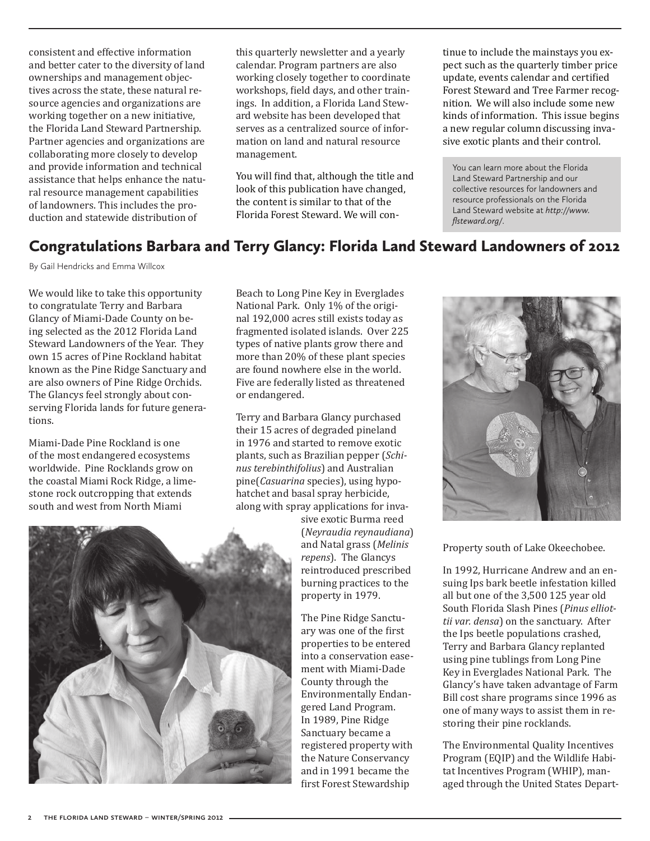consistent and effective information and better cater to the diversity of land ownerships and management objectives across the state, these natural resource agencies and organizations are working together on a new initiative, the Florida Land Steward Partnership. Partner agencies and organizations are collaborating more closely to develop and provide information and technical assistance that helps enhance the natural resource management capabilities of landowners. This includes the production and statewide distribution of

this quarterly newsletter and a yearly calendar. Program partners are also working closely together to coordinate workshops, field days, and other trainings. In addition, a Florida Land Steward website has been developed that serves as a centralized source of information on land and natural resource management.

You will find that, although the title and look of this publication have changed, the content is similar to that of the Florida Forest Steward. We will continue to include the mainstays you expect such as the quarterly timber price update, events calendar and certified Forest Steward and Tree Farmer recognition. We will also include some new kinds of information. This issue begins a new regular column discussing invasive exotic plants and their control.

You can learn more about the Florida Land Steward Partnership and our collective resources for landowners and resource professionals on the Florida Land Steward website at *http://www. flsteward.org/*.

#### Congratulations Barbara and Terry Glancy: Florida Land Steward Landowners of 2012

By Gail Hendricks and Emma Willcox

We would like to take this opportunity to congratulate Terry and Barbara Glancy of Miami-Dade County on being selected as the 2012 Florida Land Steward Landowners of the Year. They own 15 acres of Pine Rockland habitat known as the Pine Ridge Sanctuary and are also owners of Pine Ridge Orchids. The Glancys feel strongly about conserving Florida lands for future generations.

Miami-Dade Pine Rockland is one of the most endangered ecosystems worldwide. Pine Rocklands grow on the coastal Miami Rock Ridge, a limestone rock outcropping that extends south and west from North Miami

Beach to Long Pine Key in Everglades National Park. Only 1% of the original 192,000 acres still exists today as fragmented isolated islands. Over 225 types of native plants grow there and more than 20% of these plant species are found nowhere else in the world. Five are federally listed as threatened or endangered.

Terry and Barbara Glancy purchased their 15 acres of degraded pineland in 1976 and started to remove exotic plants, such as Brazilian pepper (*Schinus terebinthifolius*) and Australian pine(*Casuarina* species), using hypohatchet and basal spray herbicide, along with spray applications for inva-

> sive exotic Burma reed (*Neyraudia reynaudiana*) and Natal grass (*Melinis repens*). The Glancys reintroduced prescribed burning practices to the property in 1979.

The Pine Ridge Sanctuary was one of the first properties to be entered into a conservation easement with Miami-Dade County through the Environmentally Endangered Land Program. In 1989, Pine Ridge Sanctuary became a registered property with the Nature Conservancy and in 1991 became the first Forest Stewardship



Property south of Lake Okeechobee.

In 1992, Hurricane Andrew and an ensuing Ips bark beetle infestation killed all but one of the 3,500 125 year old South Florida Slash Pines (*Pinus elliottii var. densa*) on the sanctuary. After the Ips beetle populations crashed, Terry and Barbara Glancy replanted using pine tublings from Long Pine Key in Everglades National Park. The Glancy's have taken advantage of Farm Bill cost share programs since 1996 as one of many ways to assist them in restoring their pine rocklands.

The Environmental Quality Incentives Program (EQIP) and the Wildlife Habitat Incentives Program (WHIP), managed through the United States Depart-

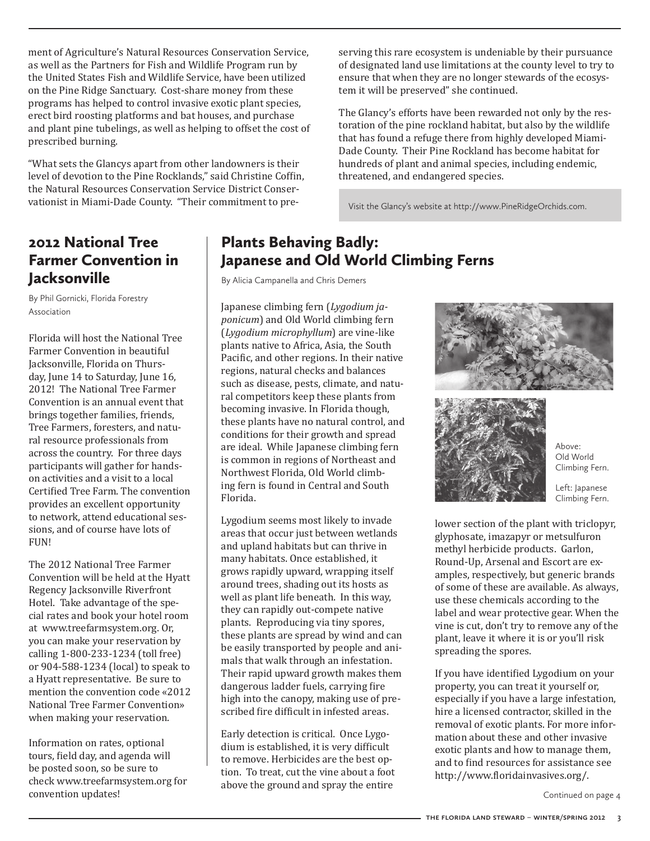ment of Agriculture's Natural Resources Conservation Service, as well as the Partners for Fish and Wildlife Program run by the United States Fish and Wildlife Service, have been utilized on the Pine Ridge Sanctuary. Cost-share money from these programs has helped to control invasive exotic plant species, erect bird roosting platforms and bat houses, and purchase and plant pine tubelings, as well as helping to offset the cost of prescribed burning.

"What sets the Glancys apart from other landowners is their level of devotion to the Pine Rocklands," said Christine Coffin, the Natural Resources Conservation Service District Conservationist in Miami-Dade County. "Their commitment to preserving this rare ecosystem is undeniable by their pursuance of designated land use limitations at the county level to try to ensure that when they are no longer stewards of the ecosystem it will be preserved" she continued.

The Glancy's efforts have been rewarded not only by the restoration of the pine rockland habitat, but also by the wildlife that has found a refuge there from highly developed Miami-Dade County. Their Pine Rockland has become habitat for hundreds of plant and animal species, including endemic, threatened, and endangered species.

Visit the Glancy's website at http://www.PineRidgeOrchids.com.

#### 2012 National Tree Farmer Convention in **Jacksonville**

By Phil Gornicki, Florida Forestry Association

Florida will host the National Tree Farmer Convention in beautiful Jacksonville, Florida on Thursday, June 14 to Saturday, June 16, 2012! The National Tree Farmer Convention is an annual event that brings together families, friends, Tree Farmers, foresters, and natural resource professionals from across the country. For three days participants will gather for handson activities and a visit to a local Certified Tree Farm. The convention provides an excellent opportunity to network, attend educational sessions, and of course have lots of **FIIN!** 

The 2012 National Tree Farmer Convention will be held at the Hyatt Regency Jacksonville Riverfront Hotel. Take advantage of the special rates and book your hotel room at www.treefarmsystem.org. Or, you can make your reservation by calling 1-800-233-1234 (toll free) or 904-588-1234 (local) to speak to a Hyatt representative. Be sure to mention the convention code «2012 National Tree Farmer Convention» when making your reservation.

Information on rates, optional tours, field day, and agenda will be posted soon, so be sure to check www.treefarmsystem.org for convention updates!

#### Plants Behaving Badly: Japanese and Old World Climbing Ferns

By Alicia Campanella and Chris Demers

Japanese climbing fern (*Lygodium japonicum*) and Old World climbing fern (*Lygodium microphyllum*) are vine-like plants native to Africa, Asia, the South Pacific, and other regions. In their native regions, natural checks and balances such as disease, pests, climate, and natural competitors keep these plants from becoming invasive. In Florida though, these plants have no natural control, and conditions for their growth and spread are ideal. While Japanese climbing fern is common in regions of Northeast and Northwest Florida, Old World climbing fern is found in Central and South Florida.

Lygodium seems most likely to invade areas that occur just between wetlands and upland habitats but can thrive in many habitats. Once established, it grows rapidly upward, wrapping itself around trees, shading out its hosts as well as plant life beneath. In this way, they can rapidly out-compete native plants. Reproducing via tiny spores, these plants are spread by wind and can be easily transported by people and animals that walk through an infestation. Their rapid upward growth makes them dangerous ladder fuels, carrying fire high into the canopy, making use of prescribed fire difficult in infested areas.

Early detection is critical. Once Lygodium is established, it is very difficult to remove. Herbicides are the best option. To treat, cut the vine about a foot above the ground and spray the entire





Above: Old World Climbing Fern.

Left: Japanese Climbing Fern.

lower section of the plant with triclopyr, glyphosate, imazapyr or metsulfuron methyl herbicide products. Garlon, Round-Up, Arsenal and Escort are examples, respectively, but generic brands of some of these are available. As always, use these chemicals according to the label and wear protective gear. When the vine is cut, don't try to remove any of the plant, leave it where it is or you'll risk spreading the spores.

If you have identified Lygodium on your property, you can treat it yourself or, especially if you have a large infestation, hire a licensed contractor, skilled in the removal of exotic plants. For more information about these and other invasive exotic plants and how to manage them, and to find resources for assistance see http://www.floridainvasives.org/.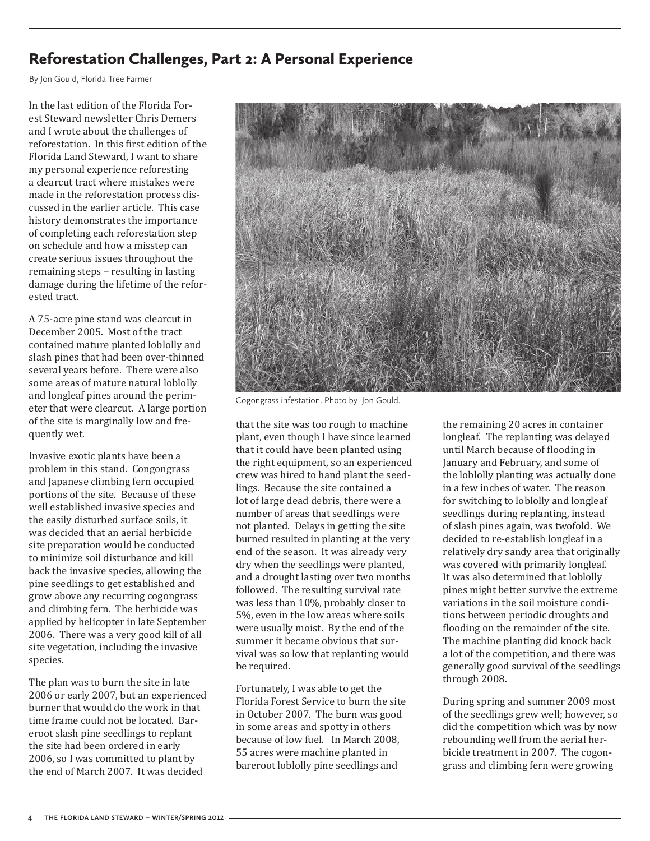#### Reforestation Challenges, Part 2: A Personal Experience

By Jon Gould, Florida Tree Farmer

In the last edition of the Florida Forest Steward newsletter Chris Demers and I wrote about the challenges of reforestation. In this first edition of the Florida Land Steward, I want to share my personal experience reforesting a clearcut tract where mistakes were made in the reforestation process discussed in the earlier article. This case history demonstrates the importance of completing each reforestation step on schedule and how a misstep can create serious issues throughout the remaining steps – resulting in lasting damage during the lifetime of the reforested tract.

A 75-acre pine stand was clearcut in December 2005. Most of the tract contained mature planted loblolly and slash pines that had been over-thinned several years before. There were also some areas of mature natural loblolly and longleaf pines around the perimeter that were clearcut. A large portion of the site is marginally low and frequently wet.

Invasive exotic plants have been a problem in this stand. Congongrass and Japanese climbing fern occupied portions of the site. Because of these well established invasive species and the easily disturbed surface soils, it was decided that an aerial herbicide site preparation would be conducted to minimize soil disturbance and kill back the invasive species, allowing the pine seedlings to get established and grow above any recurring cogongrass and climbing fern. The herbicide was applied by helicopter in late September 2006. There was a very good kill of all site vegetation, including the invasive species.

The plan was to burn the site in late 2006 or early 2007, but an experienced burner that would do the work in that time frame could not be located. Bareroot slash pine seedlings to replant the site had been ordered in early 2006, so I was committed to plant by the end of March 2007. It was decided



Cogongrass infestation. Photo by Jon Gould.

that the site was too rough to machine plant, even though I have since learned that it could have been planted using the right equipment, so an experienced crew was hired to hand plant the seedlings. Because the site contained a lot of large dead debris, there were a number of areas that seedlings were not planted. Delays in getting the site burned resulted in planting at the very end of the season. It was already very dry when the seedlings were planted, and a drought lasting over two months followed. The resulting survival rate was less than 10%, probably closer to 5%, even in the low areas where soils were usually moist. By the end of the summer it became obvious that survival was so low that replanting would be required.

Fortunately, I was able to get the Florida Forest Service to burn the site in October 2007. The burn was good in some areas and spotty in others because of low fuel. In March 2008, 55 acres were machine planted in bareroot loblolly pine seedlings and

the remaining 20 acres in container longleaf. The replanting was delayed until March because of flooding in January and February, and some of the loblolly planting was actually done in a few inches of water. The reason for switching to loblolly and longleaf seedlings during replanting, instead of slash pines again, was twofold. We decided to re-establish longleaf in a relatively dry sandy area that originally was covered with primarily longleaf. It was also determined that loblolly pines might better survive the extreme variations in the soil moisture conditions between periodic droughts and flooding on the remainder of the site. The machine planting did knock back a lot of the competition, and there was generally good survival of the seedlings through 2008.

During spring and summer 2009 most of the seedlings grew well; however, so did the competition which was by now rebounding well from the aerial herbicide treatment in 2007. The cogongrass and climbing fern were growing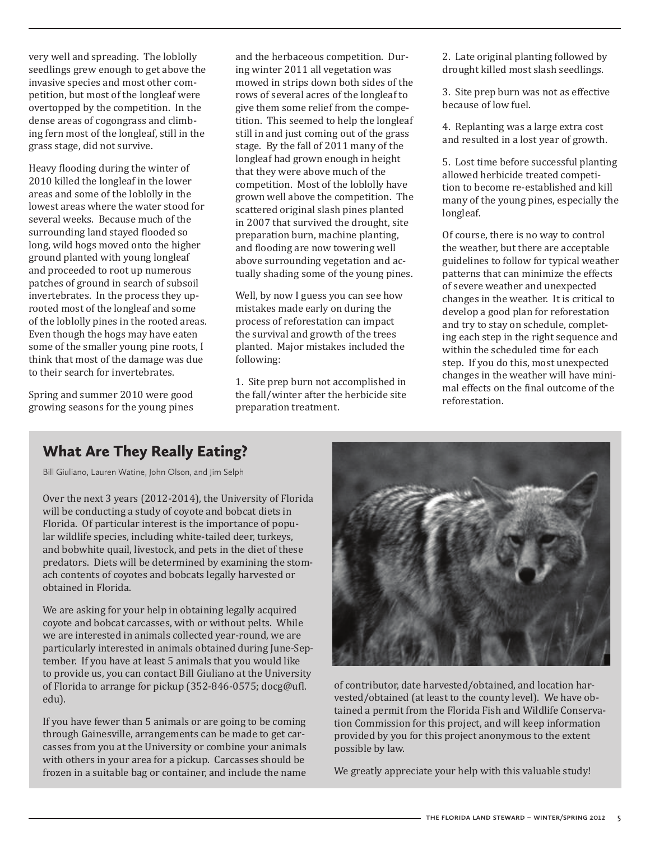very well and spreading. The loblolly seedlings grew enough to get above the invasive species and most other competition, but most of the longleaf were overtopped by the competition. In the dense areas of cogongrass and climbing fern most of the longleaf, still in the grass stage, did not survive.

Heavy flooding during the winter of 2010 killed the longleaf in the lower areas and some of the loblolly in the lowest areas where the water stood for several weeks. Because much of the surrounding land stayed flooded so long, wild hogs moved onto the higher ground planted with young longleaf and proceeded to root up numerous patches of ground in search of subsoil invertebrates. In the process they uprooted most of the longleaf and some of the loblolly pines in the rooted areas. Even though the hogs may have eaten some of the smaller young pine roots, I think that most of the damage was due to their search for invertebrates.

Spring and summer 2010 were good growing seasons for the young pines

and the herbaceous competition. During winter 2011 all vegetation was mowed in strips down both sides of the rows of several acres of the longleaf to give them some relief from the competition. This seemed to help the longleaf still in and just coming out of the grass stage. By the fall of 2011 many of the longleaf had grown enough in height that they were above much of the competition. Most of the loblolly have grown well above the competition. The scattered original slash pines planted in 2007 that survived the drought, site preparation burn, machine planting, and flooding are now towering well above surrounding vegetation and actually shading some of the young pines.

Well, by now I guess you can see how mistakes made early on during the process of reforestation can impact the survival and growth of the trees planted. Major mistakes included the following:

1. Site prep burn not accomplished in the fall/winter after the herbicide site preparation treatment.

2. Late original planting followed by drought killed most slash seedlings.

3. Site prep burn was not as effective because of low fuel.

4. Replanting was a large extra cost and resulted in a lost year of growth.

5. Lost time before successful planting allowed herbicide treated competition to become re-established and kill many of the young pines, especially the longleaf.

Of course, there is no way to control the weather, but there are acceptable guidelines to follow for typical weather patterns that can minimize the effects of severe weather and unexpected changes in the weather. It is critical to develop a good plan for reforestation and try to stay on schedule, completing each step in the right sequence and within the scheduled time for each step. If you do this, most unexpected changes in the weather will have minimal effects on the final outcome of the reforestation.

#### What Are They Really Eating?

Bill Giuliano, Lauren Watine, John Olson, and Jim Selph

Over the next 3 years (2012-2014), the University of Florida will be conducting a study of coyote and bobcat diets in Florida. Of particular interest is the importance of popular wildlife species, including white-tailed deer, turkeys, and bobwhite quail, livestock, and pets in the diet of these predators. Diets will be determined by examining the stomach contents of coyotes and bobcats legally harvested or obtained in Florida.

We are asking for your help in obtaining legally acquired coyote and bobcat carcasses, with or without pelts. While we are interested in animals collected year-round, we are particularly interested in animals obtained during June-September. If you have at least 5 animals that you would like to provide us, you can contact Bill Giuliano at the University of Florida to arrange for pickup (352-846-0575; docg@ufl. edu).

If you have fewer than 5 animals or are going to be coming through Gainesville, arrangements can be made to get carcasses from you at the University or combine your animals with others in your area for a pickup. Carcasses should be frozen in a suitable bag or container, and include the name



of contributor, date harvested/obtained, and location harvested/obtained (at least to the county level). We have obtained a permit from the Florida Fish and Wildlife Conservation Commission for this project, and will keep information provided by you for this project anonymous to the extent possible by law.

We greatly appreciate your help with this valuable study!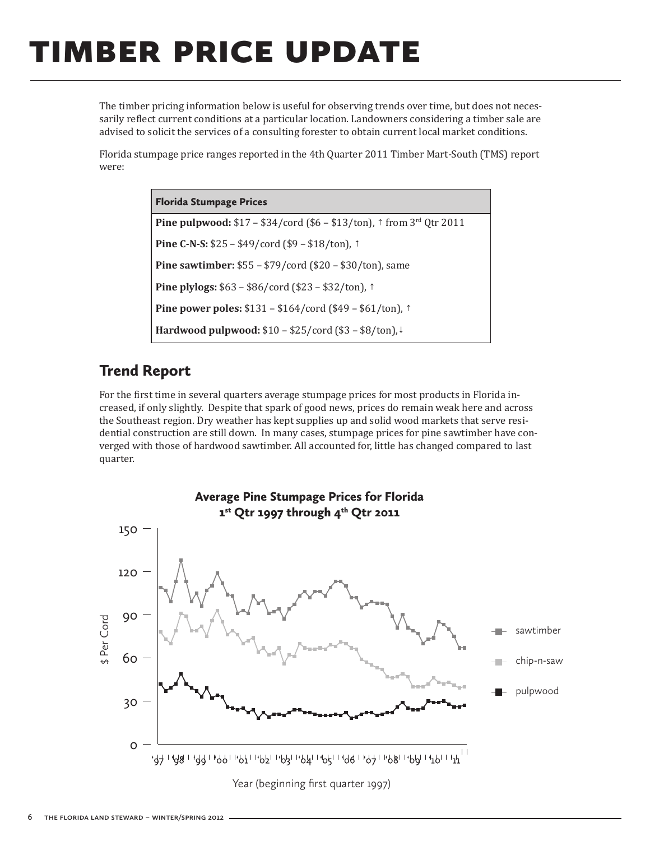## timber price update

The timber pricing information below is useful for observing trends over time, but does not necessarily reflect current conditions at a particular location. Landowners considering a timber sale are advised to solicit the services of a consulting forester to obtain current local market conditions.

Florida stumpage price ranges reported in the 4th Quarter 2011 Timber Mart-South (TMS) report were:

> Florida Stumpage Prices **Pine pulpwood:** \$17 – \$34/cord (\$6 – \$13/ton), ↑ from 3rd Qtr 2011 **Pine C-N-S:** \$25 – \$49/cord (\$9 – \$18/ton), ↑ **Pine sawtimber:** \$55 – \$79/cord (\$20 – \$30/ton), same **Pine plylogs:** \$63 – \$86/cord (\$23 – \$32/ton), ↑ **Pine power poles:** \$131 – \$164/cord (\$49 – \$61/ton), ↑ **Hardwood pulpwood:** \$10 – \$25/cord (\$3 – \$8/ton),↓

#### Trend Report

For the first time in several quarters average stumpage prices for most products in Florida increased, if only slightly. Despite that spark of good news, prices do remain weak here and across the Southeast region. Dry weather has kept supplies up and solid wood markets that serve residential construction are still down. In many cases, stumpage prices for pine sawtimber have converged with those of hardwood sawtimber. All accounted for, little has changed compared to last quarter.



**6 the florida land steward** – **winter/spring 2012**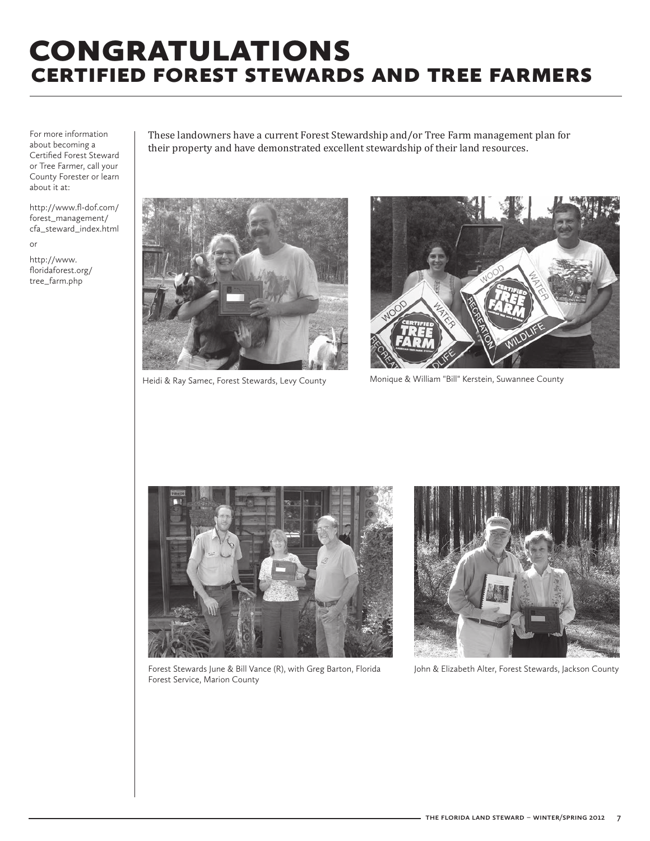### **CONGRATULATIONS** certified forest stewards and tree farmers

For more information about becoming a Certified Forest Steward or Tree Farmer, call your County Forester or learn about it at:

http://www.fl-dof.com/ forest\_management/ cfa\_steward\_index.html or

http://www. floridaforest.org/ tree\_farm.php

These landowners have a current Forest Stewardship and/or Tree Farm management plan for their property and have demonstrated excellent stewardship of their land resources.



Heidi & Ray Samec, Forest Stewards, Levy County



Monique & William "Bill" Kerstein, Suwannee County



Forest Stewards June & Bill Vance (R), with Greg Barton, Florida Forest Service, Marion County



John & Elizabeth Alter, Forest Stewards, Jackson County